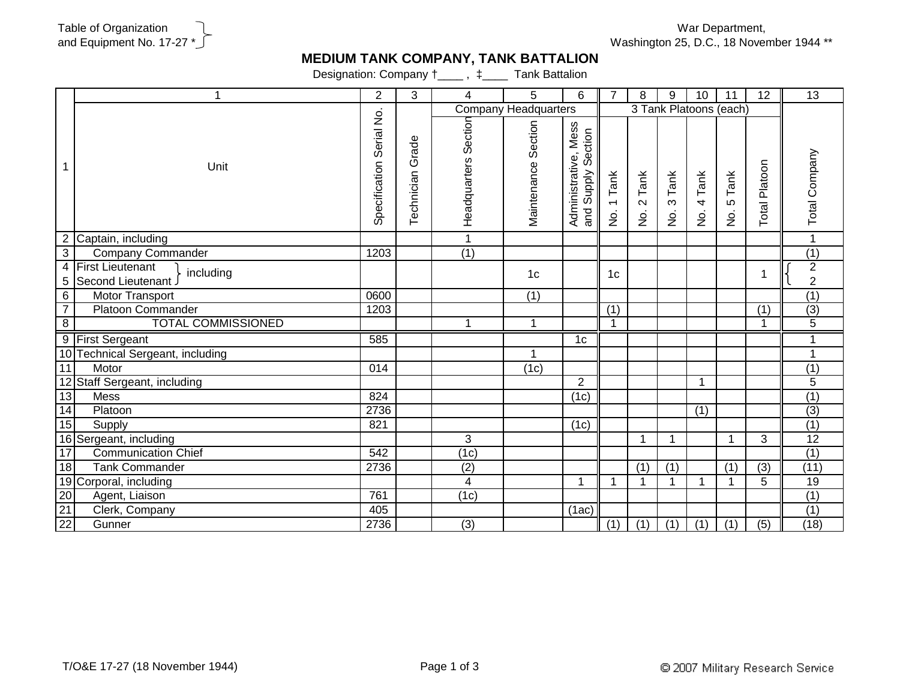War Department, Washington 25, D.C., 18 November 1944 \*\*

## **MEDIUM TANK COMPANY, TANK BATTALION**

Designation: Company  $\dagger$ \_\_\_\_,  $\ddagger$ \_\_\_\_ Tank Battalion

|                                               | 1                                                          | $\sqrt{2}$                 | 3                | 4                           | 5                   | 6                                                | $\overline{7}$                                         | 8                                               | 9                                 | 10                           | 11                               | 12             | $\overline{13}$                    |
|-----------------------------------------------|------------------------------------------------------------|----------------------------|------------------|-----------------------------|---------------------|--------------------------------------------------|--------------------------------------------------------|-------------------------------------------------|-----------------------------------|------------------------------|----------------------------------|----------------|------------------------------------|
|                                               |                                                            |                            |                  | <b>Company Headquarters</b> |                     |                                                  |                                                        |                                                 | 3 Tank Platoons (each)            |                              |                                  |                |                                    |
|                                               | Unit                                                       | Serial No<br>Specification | Technician Grade | Section<br>Headquarters     | Maintenance Section | Administrative, Mess<br>Section<br>Supply<br>and | Tank<br>$\overline{\phantom{0}}$<br>$\dot{\mathsf{p}}$ | Tank<br>$\mathbf{\Omega}$<br>$\dot{\mathsf{p}}$ | Tank<br>$\infty$<br>$\frac{1}{2}$ | 4 Tank<br>$\dot{\mathsf{S}}$ | Tank<br>LO<br>$\dot{\mathsf{p}}$ | Total Platoon  | Total Company                      |
| 2                                             | Captain, including                                         |                            |                  |                             |                     |                                                  |                                                        |                                                 |                                   |                              |                                  |                |                                    |
| $\overline{3}$                                | <b>Company Commander</b>                                   | 1203                       |                  | $\overline{(1)}$            |                     |                                                  |                                                        |                                                 |                                   |                              |                                  |                | (1)                                |
| 4<br>5                                        | <b>First Lieutenant</b><br>including<br>Second Lieutenant. |                            |                  |                             | 1 <sub>c</sub>      |                                                  | 1 <sub>c</sub>                                         |                                                 |                                   |                              |                                  | 1              | $\boldsymbol{2}$<br>$\overline{2}$ |
| 6                                             | Motor Transport                                            | 0600                       |                  |                             | $\overline{(1)}$    |                                                  |                                                        |                                                 |                                   |                              |                                  |                | (1)                                |
| $\overline{7}$                                | <b>Platoon Commander</b>                                   | 1203                       |                  |                             |                     |                                                  | (1)                                                    |                                                 |                                   |                              |                                  | (1)            | $\overline{(3)}$                   |
| $\overline{8}$                                | <b>TOTAL COMMISSIONED</b>                                  |                            |                  | 1                           | $\mathbf{1}$        |                                                  | $\blacktriangleleft$                                   |                                                 |                                   |                              |                                  | 1              | $\overline{5}$                     |
| 9                                             | <b>First Sergeant</b>                                      | 585                        |                  |                             |                     | 1 <sub>c</sub>                                   |                                                        |                                                 |                                   |                              |                                  |                |                                    |
|                                               | 10 Technical Sergeant, including                           |                            |                  |                             | 1                   |                                                  |                                                        |                                                 |                                   |                              |                                  |                | 1                                  |
| $\overline{11}$                               | Motor                                                      | 014                        |                  |                             | (1c)                |                                                  |                                                        |                                                 |                                   |                              |                                  |                | (1)                                |
|                                               | 12 Staff Sergeant, including                               |                            |                  |                             |                     | $\overline{2}$                                   |                                                        |                                                 |                                   | $\mathbf 1$                  |                                  |                | $\overline{5}$                     |
| 13                                            | <b>Mess</b>                                                | 824                        |                  |                             |                     | (1c)                                             |                                                        |                                                 |                                   |                              |                                  |                | $\overline{(1)}$                   |
| 14                                            | Platoon                                                    | 2736                       |                  |                             |                     |                                                  |                                                        |                                                 |                                   | (1)                          |                                  |                | $\overline{(3)}$                   |
| 15                                            | Supply                                                     | 821                        |                  |                             |                     | (1c)                                             |                                                        |                                                 |                                   |                              |                                  |                | (1)                                |
|                                               | 16 Sergeant, including                                     |                            |                  | 3                           |                     |                                                  |                                                        | -1                                              | 1                                 |                              | -1                               | 3              | 12                                 |
| 17                                            | <b>Communication Chief</b>                                 | 542                        |                  | (1c)                        |                     |                                                  |                                                        |                                                 |                                   |                              |                                  |                | $\overline{(1)}$                   |
| 18                                            | <b>Tank Commander</b>                                      | 2736                       |                  | $\overline{(2)}$            |                     |                                                  |                                                        | $\overline{(1)}$                                | (1)                               |                              | $\overline{(1)}$                 | $\overline{3}$ | (11)                               |
|                                               | 19 Corporal, including                                     |                            |                  | 4                           |                     | 1                                                |                                                        |                                                 |                                   | 1                            |                                  | 5              | 19                                 |
| $\begin{array}{r} 20 \\ 21 \\ 22 \end{array}$ | Agent, Liaison                                             | 761                        |                  | (1c)                        |                     |                                                  |                                                        |                                                 |                                   |                              |                                  |                | $\overline{(1)}$                   |
|                                               | Clerk, Company                                             | 405                        |                  |                             |                     | (1ac)                                            |                                                        |                                                 |                                   |                              |                                  |                | $\overline{(1)}$                   |
|                                               | Gunner                                                     | 2736                       |                  | $\overline{(3)}$            |                     |                                                  | (1)                                                    | (1)                                             | (1)                               | (1)                          | (1)                              | (5)            | (18)                               |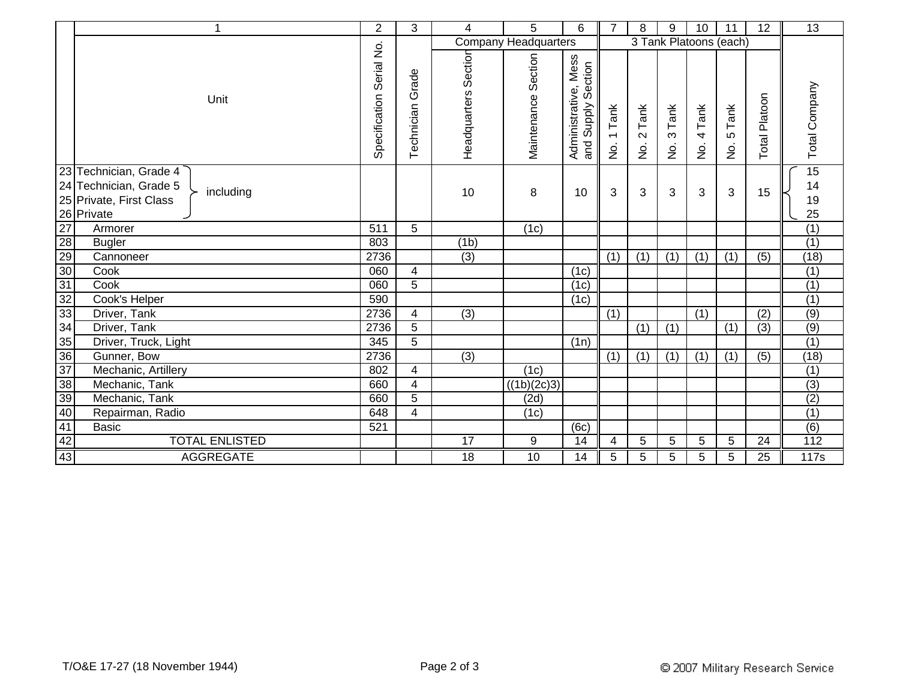|                 | 1                                   | $\overline{2}$              | 3                       | 4                    | 5                           | 6                                                | $\overline{7}$                                    | 8                               | 9                                 | 10                         | 11                           | 12             | 13               |
|-----------------|-------------------------------------|-----------------------------|-------------------------|----------------------|-----------------------------|--------------------------------------------------|---------------------------------------------------|---------------------------------|-----------------------------------|----------------------------|------------------------------|----------------|------------------|
|                 |                                     |                             |                         |                      | <b>Company Headquarters</b> |                                                  |                                                   |                                 |                                   | 3 Tank Platoons (each)     |                              |                |                  |
|                 | Unit                                | Serial No.<br>Specification | Technician Grade        | Headquarters Section | Section<br>Maintenance      | Administrative, Mess<br>Section<br>Supply<br>and | Tank<br>$\overline{\phantom{0}}$<br>$\frac{1}{2}$ | Tank<br>$\sim$<br>$\frac{1}{2}$ | Tank<br>$\infty$<br>$\frac{1}{2}$ | Tank<br>4<br>$\frac{1}{2}$ | Tank<br>LO.<br>$\frac{1}{2}$ | Total Platoon  | Total Company    |
|                 | 23 Technician, Grade 4              |                             |                         |                      |                             |                                                  |                                                   |                                 |                                   |                            |                              |                | 15               |
|                 | 24 Technician, Grade 5<br>including |                             |                         | 10                   | 8                           | 10                                               | 3                                                 | 3                               | 3                                 | 3                          | 3                            | 15             | 14               |
|                 | 25 Private, First Class             |                             |                         |                      |                             |                                                  |                                                   |                                 |                                   |                            |                              |                | 19               |
|                 | 26 Private                          |                             |                         |                      |                             |                                                  |                                                   |                                 |                                   |                            |                              |                | 25               |
| 27              | Armorer                             | 511                         | 5                       |                      | (1c)                        |                                                  |                                                   |                                 |                                   |                            |                              |                | (1)              |
| 28              | <b>Bugler</b>                       | 803                         |                         | (1b)                 |                             |                                                  |                                                   |                                 |                                   |                            |                              |                | (1)              |
| 29              | Cannoneer                           | 2736                        |                         | (3)                  |                             |                                                  | (1)                                               | (1)                             | (1)                               | (1)                        | (1)                          | (5)            | (18)             |
| $30\,$          | Cook                                | 060                         | 4                       |                      |                             | (1c)                                             |                                                   |                                 |                                   |                            |                              |                | $\overline{(1)}$ |
| 31              | Cook                                | 060                         | $\overline{5}$          |                      |                             | (1c)                                             |                                                   |                                 |                                   |                            |                              |                | (1)              |
| 32              | Cook's Helper                       | 590                         |                         |                      |                             | (1c)                                             |                                                   |                                 |                                   |                            |                              |                | (1)              |
| 33              | Driver, Tank                        | 2736                        | 4                       | (3)                  |                             |                                                  | (1)                                               |                                 |                                   | (1)                        |                              | (2)            | (9)              |
| 34              | Driver, Tank                        | 2736                        | $\overline{5}$          |                      |                             |                                                  |                                                   | (1)                             | (1)                               |                            | $\overline{(1)}$             | $\overline{3}$ | (9)              |
| 35              | Driver, Truck, Light                | 345                         | 5                       |                      |                             | (1n)                                             |                                                   |                                 |                                   |                            |                              |                | $\overline{(1)}$ |
| 36              | Gunner, Bow                         | 2736                        |                         | $\overline{(3)}$     |                             |                                                  | (1)                                               | (1)                             | (1)                               | (1)                        | (1)                          | (5)            | (18)             |
| 37              | Mechanic, Artillery                 | 802                         | 4                       |                      | (1c)                        |                                                  |                                                   |                                 |                                   |                            |                              |                | (1)              |
| $\overline{38}$ | Mechanic, Tank                      | 660                         | 4                       |                      | ((1b)(2c)3)                 |                                                  |                                                   |                                 |                                   |                            |                              |                | $\overline{(3)}$ |
| 39              | Mechanic, Tank                      | 660                         | $\overline{5}$          |                      | (2d)                        |                                                  |                                                   |                                 |                                   |                            |                              |                | (2)              |
| 40              | Repairman, Radio                    | 648                         | $\overline{\mathbf{4}}$ |                      | (1c)                        |                                                  |                                                   |                                 |                                   |                            |                              |                | $\overline{(1)}$ |
| 41              | <b>Basic</b>                        | 521                         |                         |                      |                             | (6c)                                             |                                                   |                                 |                                   |                            |                              |                | $\overline{(6)}$ |
| 42              | <b>TOTAL ENLISTED</b>               |                             |                         | 17                   | 9                           | 14                                               | 4                                                 | 5                               | 5                                 | 5                          | 5                            | 24             | $\overline{112}$ |
| 43              | <b>AGGREGATE</b>                    |                             |                         | 18                   | $\overline{10}$             | 14                                               | 5                                                 | 5                               | 5                                 | 5                          | 5                            | 25             | 117s             |